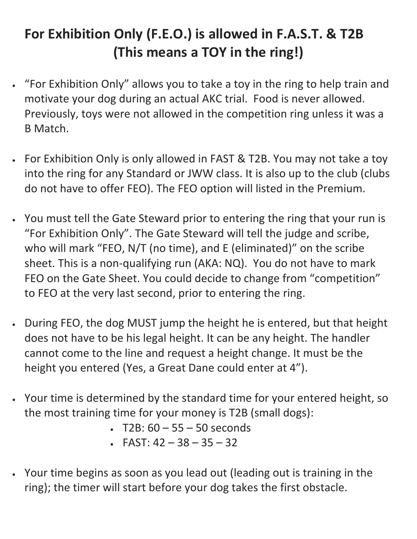## **For Exhibition Only (F.E.O.) is allowed in F.A.S.T. & T2B (This means a TOY in the ring!)**

- "For Exhibition Only" allows you to take a toy in the ring to help train and motivate your dog during an actual AKC trial. Food is never allowed. Previously, toys were not allowed in the competition ring unless it was a B Match.
- For Exhibition Only is only allowed in FAST & T2B. You may not take a toy into the ring for any Standard or JWW class. It is also up to the club (clubs do not have to offer FEO). The FEO option will listed in the Premium.
- You must tell the Gate Steward prior to entering the ring that your run is "For Exhibition Only". The Gate Steward will tell the judge and scribe, who will mark "FEO, N/T (no time), and E (eliminated)" on the scribe sheet. This is a non-qualifying run (AKA: NQ). You do not have to mark FEO on the Gate Sheet. You could decide to change from "competition" to FEO at the very last second, prior to entering the ring.
- During FEO, the dog MUST jump the height he is entered, but that height does not have to be his legal height. It can be any height. The handler cannot come to the line and request a height change. It must be the height you entered (Yes, a Great Dane could enter at 4").
- Your time is determined by the standard time for your entered height, so the most training time for your money is T2B (small dogs):
	- T2B:  $60 55 50$  seconds
	- FAST:  $42 38 35 32$
- Your time begins as soon as you lead out (leading out is training in the ring); the timer will start before your dog takes the first obstacle.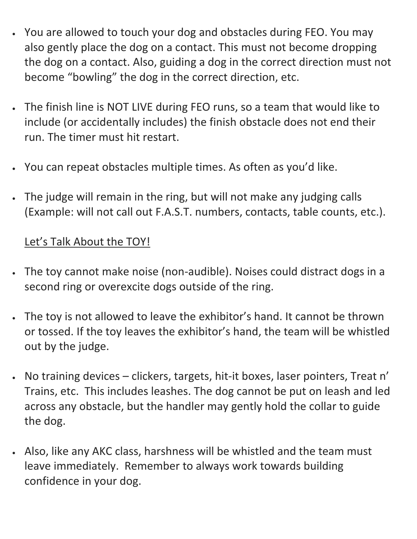- You are allowed to touch your dog and obstacles during FEO. You may also gently place the dog on a contact. This must not become dropping the dog on a contact. Also, guiding a dog in the correct direction must not become "bowling" the dog in the correct direction, etc.
- The finish line is NOT LIVE during FEO runs, so a team that would like to include (or accidentally includes) the finish obstacle does not end their run. The timer must hit restart.
- You can repeat obstacles multiple times. As often as you'd like.
- The judge will remain in the ring, but will not make any judging calls (Example: will not call out F.A.S.T. numbers, contacts, table counts, etc.).

## Let's Talk About the TOY!

- The toy cannot make noise (non-audible). Noises could distract dogs in a second ring or overexcite dogs outside of the ring.
- The toy is not allowed to leave the exhibitor's hand. It cannot be thrown or tossed. If the toy leaves the exhibitor's hand, the team will be whistled out by the judge.
- No training devices clickers, targets, hit-it boxes, laser pointers, Treat n' Trains, etc. This includes leashes. The dog cannot be put on leash and led across any obstacle, but the handler may gently hold the collar to guide the dog.
- Also, like any AKC class, harshness will be whistled and the team must leave immediately. Remember to always work towards building confidence in your dog.